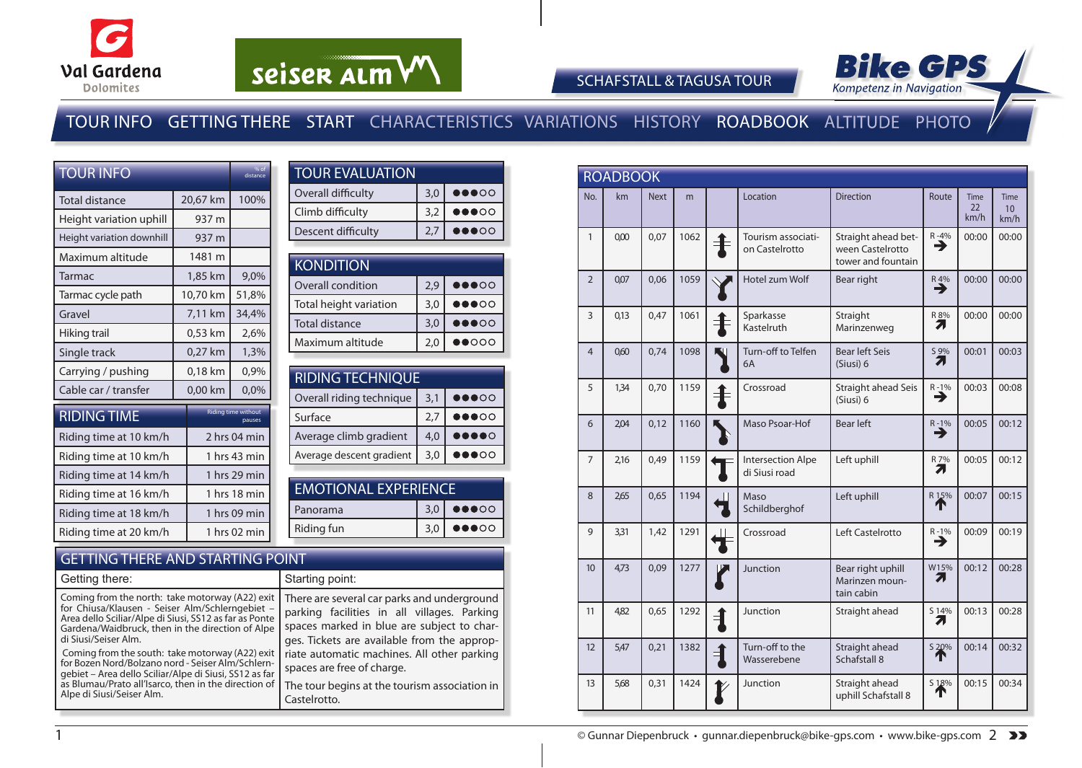

# seiser alm VV



SCHAFSTALL & TAGUSA TOUR

### TOUR INFO GETTING THERE START CHARACTERISTICS VARIATIONS HISTORY ROADBOOK ALTITUDE PHOTO

| <b>TOUR INFO</b>          |              | % of<br>distance                     |  |
|---------------------------|--------------|--------------------------------------|--|
| Total distance            | 20,67 km     | 100%                                 |  |
| Height variation uphill   | 937 m        |                                      |  |
| Height variation downhill | 937 m        |                                      |  |
| Maximum altitude          | 1481 m       |                                      |  |
| Tarmac                    | 1,85 km      | 9,0%                                 |  |
| Tarmac cycle path         | 10,70 km     | 51,8%                                |  |
| Gravel                    | 7,11 km      | 34,4%                                |  |
| Hiking trail              | 0,53 km      | 2,6%                                 |  |
| Single track              | 0,27 km      | 1,3%                                 |  |
| Carrying / pushing        | 0,18 km      | 0,9%                                 |  |
| Cable car / transfer      | 0,00 km      | 0,0%                                 |  |
| <b>RIDING TIME</b>        |              | <b>Riding time without</b><br>pauses |  |
| Riding time at 10 km/h    |              | 2 hrs 04 min                         |  |
| Riding time at 10 km/h    |              | 1 hrs 43 min                         |  |
| Riding time at 14 km/h    |              | 1 hrs 29 min                         |  |
| Riding time at 16 km/h    | 1 hrs 18 min |                                      |  |
| Riding time at 18 km/h    | 1 hrs 09 min |                                      |  |
| Riding time at 20 km/h    |              | 1 hrs 02 min                         |  |

| <b>TOUR EVALUATION</b> |     |                                   |  |  |  |  |  |  |
|------------------------|-----|-----------------------------------|--|--|--|--|--|--|
| Overall difficulty     | 3,0 | $\bullet\bullet\bullet\circ\circ$ |  |  |  |  |  |  |
| Climb difficulty       | 3.2 | 00000                             |  |  |  |  |  |  |
| Descent difficulty     | 2.7 |                                   |  |  |  |  |  |  |
|                        |     |                                   |  |  |  |  |  |  |

| KONDITION              |     |                                   |
|------------------------|-----|-----------------------------------|
| Overall condition      | 2.9 | $\bullet\bullet\bullet\circ\circ$ |
| Total height variation | 3,0 | $\bullet\bullet\bullet\circ\circ$ |
| <b>Total distance</b>  | 3,0 | $\bullet\bullet\bullet\circ\circ$ |
| Maximum altitude       | 2,0 | $\bullet \bullet$                 |

| <b>RIDING TECHNIQUE</b>  |     |                                   |  |  |  |  |  |  |  |
|--------------------------|-----|-----------------------------------|--|--|--|--|--|--|--|
| Overall riding technique | 3,1 | $\bullet\bullet\bullet\circ\circ$ |  |  |  |  |  |  |  |
| Surface                  | 2.7 | $\bullet\bullet\bullet\circ\circ$ |  |  |  |  |  |  |  |
| Average climb gradient   | 4,0 |                                   |  |  |  |  |  |  |  |
| Average descent gradient | 3.0 |                                   |  |  |  |  |  |  |  |
|                          |     |                                   |  |  |  |  |  |  |  |

| <b>EMOTIONAL EXPERIENCE</b> |                                           |  |  |  |  |  |  |
|-----------------------------|-------------------------------------------|--|--|--|--|--|--|
|                             | $3,0$ $\bullet$ $\bullet$ $\circ$ $\circ$ |  |  |  |  |  |  |
|                             | $3,0$ $\bullet$ $\bullet$ $\circ$ $\circ$ |  |  |  |  |  |  |
|                             |                                           |  |  |  |  |  |  |

#### GETTING THERE AND STARTING POINT

| Getting there:                                                                                                                                                                                                                                      | Starting point:                                                                                                                                                                         |
|-----------------------------------------------------------------------------------------------------------------------------------------------------------------------------------------------------------------------------------------------------|-----------------------------------------------------------------------------------------------------------------------------------------------------------------------------------------|
| Coming from the north: take motorway (A22) exit<br>for Chiusa/Klausen - Seiser Alm/Schlerngebiet -<br>Area dello Sciliar/Alpe di Siusi, SS12 as far as Ponte<br>Gardena/Waidbruck, then in the direction of Alpe<br>di Siusi/Seiser Alm.            | There are several car parks and underground<br>parking facilities in all villages. Parking<br>spaces marked in blue are subject to char-<br>ges. Tickets are available from the approp- |
| Coming from the south: take motorway (A22) exit<br>for Bozen Nord/Bolzano nord - Seiser Alm/Schlern-<br>gebiet – Area dello Sciliar/Alpe di Siusi, SS12 as far<br>as Blumau/Prato all'Isarco, then in the direction of<br>Alpe di Siusi/Seiser Alm. | riate automatic machines. All other parking<br>spaces are free of charge.<br>The tour begins at the tourism association in $ $<br>Castelrotto.                                          |

|                | <b>ROADBOOK</b> |             |      |               |                                      |                                                               |               |                           |                                        |
|----------------|-----------------|-------------|------|---------------|--------------------------------------|---------------------------------------------------------------|---------------|---------------------------|----------------------------------------|
| No.            | km              | <b>Next</b> | m    |               | Location                             | <b>Direction</b>                                              | Route         | <b>Time</b><br>22<br>km/h | <b>Time</b><br>10 <sup>1</sup><br>km/h |
| 1              | 0,00            | 0,07        | 1062 |               | Tourism associati-<br>on Castelrotto | Straight ahead bet-<br>ween Castelrotto<br>tower and fountain | $R - 4%$<br>→ | 00:00                     | 00:00                                  |
| $\mathcal{P}$  | 0,07            | 0,06        | 1059 |               | Hotel zum Wolf                       | Bear right                                                    | $R_{4\%}$     | 00:00                     | 00:00                                  |
| 3              | 0,13            | 0,47        | 1061 |               | Sparkasse<br>Kastelruth              | Straight<br>Marinzenweg                                       | R 8%<br>Л     | 00:00                     | 00:00                                  |
| $\overline{4}$ | 060             | 0,74        | 1098 |               | Turn-off to Telfen<br>6A             | <b>Bear left Seis</b><br>(Siusi) 6                            | S 9%<br>71    | 00:01                     | 00:03                                  |
| 5              | 1,34            | 0,70        | 1159 |               | Crossroad                            | Straight ahead Seis<br>(Siusi) 6                              | $R - 1%$<br>→ | 00:03                     | 00:08                                  |
| 6              | 2,04            | 0,12        | 1160 |               | Maso Psoar-Hof                       | <b>Bear left</b>                                              | $R - 1%$<br>→ | 00:05                     | 00:12                                  |
| 7              | 2,16            | 0,49        | 1159 |               | Intersection Alpe<br>di Siusi road   | Left uphill                                                   | R 7%<br>Л     | 00:05                     | 00:12                                  |
| 8              | 265             | 0,65        | 1194 |               | Maso<br>Schildberghof                | Left uphill                                                   | R 15%         | 00:07                     | 00:15                                  |
| 9              | 3,31            | 1.42        | 1291 |               | Crossroad                            | Left Castelrotto                                              | $R - 1\%$     | 00:09                     | 00:19                                  |
| 10             | 4,73            | 0,09        | 1277 |               | Junction                             | Bear right uphill<br>Marinzen moun-<br>tain cabin             | W15%<br>71    | 00:12                     | 00:28                                  |
| 11             | 482             | 0.65        | 1292 | $\rightarrow$ | Junction                             | Straight ahead                                                | S 14%<br>71   | 00:13                     | 00:28                                  |
| 12             | 5,47            | 0,21        | 1382 | ╡             | Turn-off to the<br>Wasserebene       | Straight ahead<br>Schafstall 8                                | S 20%         | 00:14                     | 00:32                                  |
| 13             | 5,68            | 0.31        | 1424 |               | Junction                             | Straight ahead<br>uphill Schafstall 8                         | 518%          | 00:15                     | 00:34                                  |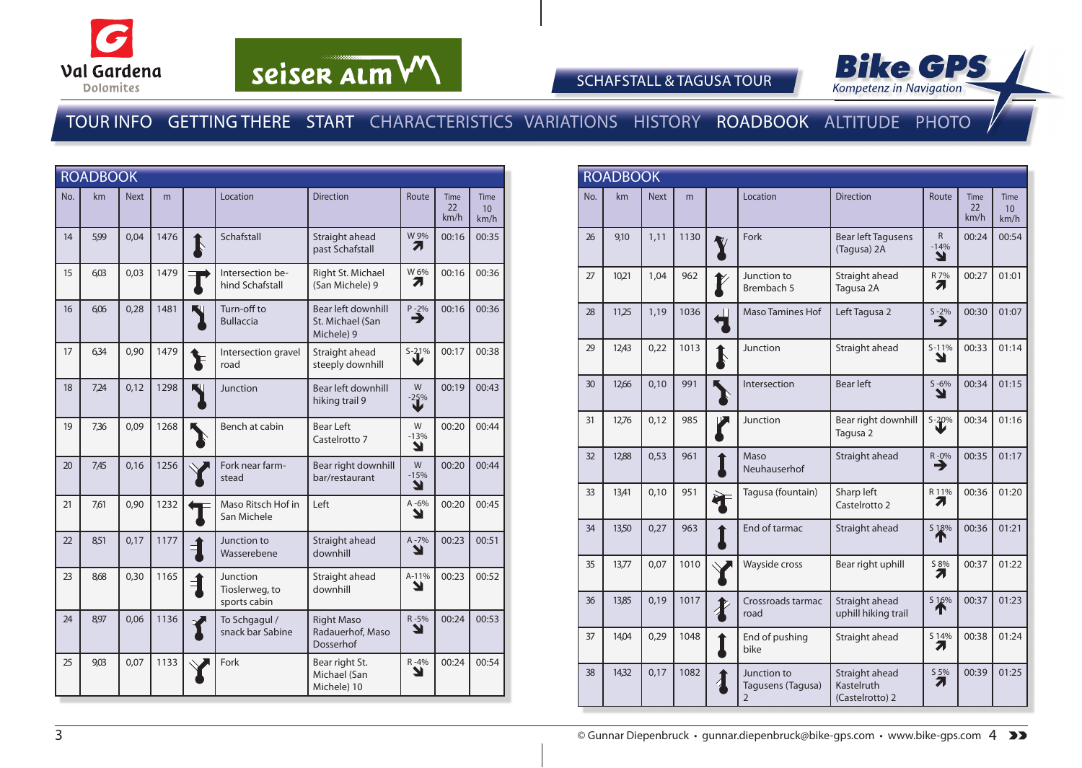

# seiser alm VV



SCHAFSTALL & TAGUSA TOUR

### TOUR INFO GETTING THERE START CHARACTERISTICS VARIATIONS HISTORY ROADBOOK ALTITUDE PHOTO

|     | <b>ROADBOOK</b> |             |      |             |                                            |                                                      |                  |                           |                                 |
|-----|-----------------|-------------|------|-------------|--------------------------------------------|------------------------------------------------------|------------------|---------------------------|---------------------------------|
| No. | km              | <b>Next</b> | m    |             | Location                                   | <b>Direction</b>                                     | Route            | <b>Time</b><br>22<br>km/h | Time<br>10 <sup>1</sup><br>km/h |
| 14  | 5,99            | 0,04        | 1476 | $\mathbf I$ | Schafstall                                 | Straight ahead<br>past Schafstall                    | W 9%<br>71       | 00:16                     | 00:35                           |
| 15  | 6.03            | 0,03        | 1479 |             | Intersection be-<br>hind Schafstall        | Right St. Michael<br>(San Michele) 9                 | W 6%<br>71       | 00:16                     | 00:36                           |
| 16  | 6,06            | 0,28        | 1481 |             | Turn-off to<br><b>Bullaccia</b>            | Bear left downhill<br>St. Michael (San<br>Michele) 9 | $P - 2%$<br>→    | 00:16                     | 00:36                           |
| 17  | 6,34            | 0,90        | 1479 |             | Intersection gravel<br>road                | Straight ahead<br>steeply downhill                   | $S-21%$          | 00:17                     | 00:38                           |
| 18  | 7,24            | 0,12        | 1298 |             | Junction                                   | Bear left downhill<br>hiking trail 9                 | W<br>$-25%$      | 00:19                     | 00:43                           |
| 19  | 7,36            | 0,09        | 1268 |             | Bench at cabin                             | <b>Bear Left</b><br>Castelrotto 7                    | W<br>$-13%$<br>Y | 00:20                     | 00:44                           |
| 20  | 7,45            | 0,16        | 1256 |             | Fork near farm-<br>stead                   | Bear right downhill<br>bar/restaurant                | W<br>$-15%$<br>Ł | 00:20                     | 00:44                           |
| 21  | 7,61            | 0,90        | 1232 |             | Maso Ritsch Hof in<br>San Michele          | Left                                                 | A-6%<br>N        | 00:20                     | 00:45                           |
| 22  | 8,51            | 0,17        | 1177 | Ę           | Junction to<br>Wasserebene                 | Straight ahead<br>downhill                           | A-7%<br>N        | 00:23                     | 00:51                           |
| 23  | 8,68            | 0,30        | 1165 | $\mathbf 1$ | Junction<br>Tioslerweg, to<br>sports cabin | Straight ahead<br>downhill                           | A-11%<br>ע       | 00:23                     | 00:52                           |
| 24  | 8,97            | 0,06        | 1136 |             | To Schgagul /<br>snack bar Sabine          | <b>Right Maso</b><br>Radauerhof, Maso<br>Dosserhof   | R-5%<br>N        | 00:24                     | 00:53                           |
| 25  | 9,03            | 0,07        | 1133 |             | Fork                                       | Bear right St.<br>Michael (San<br>Michele) 10        | $R - 4%$<br>N    | 00:24                     | 00:54                           |

|     | <b>ROADBOOK</b> |             |      |                  |                                                    |                                                 |                             |                           |                                 |
|-----|-----------------|-------------|------|------------------|----------------------------------------------------|-------------------------------------------------|-----------------------------|---------------------------|---------------------------------|
| No. | km              | <b>Next</b> | m    |                  | Location                                           | <b>Direction</b>                                | Route                       | <b>Time</b><br>22<br>km/h | Time<br>10 <sup>°</sup><br>km/h |
| 26  | 9,10            | 1,11        | 1130 |                  | Fork                                               | <b>Bear left Tagusens</b><br>(Tagusa) 2A        | $\mathsf{R}$<br>$-14%$<br>Y | 00:24                     | 00:54                           |
| 27  | 10,21           | 1.04        | 962  |                  | Junction to<br>Brembach 5                          | Straight ahead<br>Tagusa 2A                     | R 7%<br>71                  | 00:27                     | 01:01                           |
| 28  | 11,25           | 1,19        | 1036 |                  | Maso Tamines Hof                                   | Left Tagusa 2                                   | $5 - 2\%$                   | 00:30                     | 01:07                           |
| 29  | 12,43           | 0,22        | 1013 | $\blacklozenge$  | Junction                                           | Straight ahead                                  | $S-11%$<br>Y                | 00:33                     | 01:14                           |
| 30  | 12,66           | 0,10        | 991  |                  | Intersection                                       | <b>Bear left</b>                                | $S - 6%$<br>Y               | 00:34                     | 01:15                           |
| 31  | 12,76           | 0.12        | 985  |                  | Junction                                           | Bear right downhill<br>Tagusa <sub>2</sub>      | $S - 20%$                   | 00:34                     | 01:16                           |
| 32  | 12,88           | 0,53        | 961  |                  | Maso<br>Neuhauserhof                               | Straight ahead                                  | R-0%<br>→                   | 00:35                     | 01:17                           |
| 33  | 13,41           | 0,10        | 951  |                  | Tagusa (fountain)                                  | Sharp left<br>Castelrotto 2                     | R 11%<br>71                 | 00:36                     | 01:20                           |
| 34  | 13,50           | 0,27        | 963  |                  | End of tarmac                                      | Straight ahead                                  | S 18%<br>́↑                 | 00:36                     | 01:21                           |
| 35  | 13,77           | 0,07        | 1010 |                  | Wayside cross                                      | Bear right uphill                               | S 8%<br>71                  | 00:37                     | 01:22                           |
| 36  | 13,85           | 0,19        | 1017 | $\boldsymbol{I}$ | Crossroads tarmac<br>road                          | Straight ahead<br>uphill hiking trail           | S 16%<br>́↑                 | 00:37                     | 01:23                           |
| 37  | 14,04           | 0,29        | 1048 |                  | End of pushing<br>bike                             | Straight ahead                                  | S 14%<br>71                 | 00:38                     | 01:24                           |
| 38  | 14,32           | 0,17        | 1082 | $\lambda$        | Junction to<br>Tagusens (Tagusa)<br>$\overline{2}$ | Straight ahead<br>Kastelruth<br>(Castelrotto) 2 | S 5%<br>7.                  | 00:39                     | 01:25                           |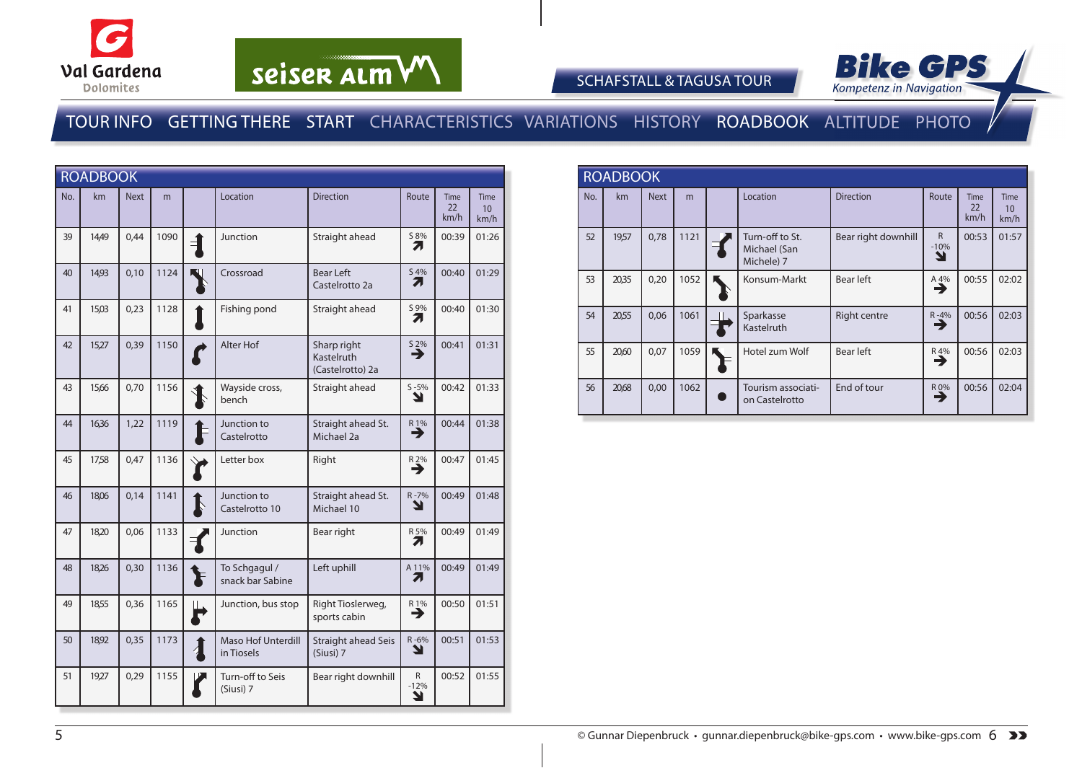

# seiser alm VV



SCHAFSTALL & TAGUSA TOUR

### TOUR INFO GETTING THERE START CHARACTERISTICS VARIATIONS HISTORY ROADBOOK ALTITUDE PHOTO

|     | <b>ROADBOOK</b> |             |      |                        |                                         |                                               |                               |                    |                                  |
|-----|-----------------|-------------|------|------------------------|-----------------------------------------|-----------------------------------------------|-------------------------------|--------------------|----------------------------------|
| No. | km              | <b>Next</b> | m    |                        | Location                                | <b>Direction</b>                              | Route                         | Time<br>22<br>km/h | Time<br>10 <sup>10</sup><br>km/h |
| 39  | 14,49           | 0,44        | 1090 | $\exists$              | Junction                                | Straight ahead                                | S 8%<br>71                    | 00:39              | 01:26                            |
| 40  | 14,93           | 0,10        | 1124 |                        | Crossroad                               | <b>Bear Left</b><br>Castelrotto 2a            | S 4%<br>71                    | 00:40              | 01:29                            |
| 41  | 15,03           | 0,23        | 1128 |                        | Fishing pond                            | Straight ahead                                | S 9%<br>71                    | 00:40              | 01:30                            |
| 42  | 15,27           | 0,39        | 1150 |                        | Alter Hof                               | Sharp right<br>Kastelruth<br>(Castelrotto) 2a | $\overset{52\%}{\rightarrow}$ | 00:41              | 01:31                            |
| 43  | 15,66           | 0,70        | 1156 |                        | Wayside cross,<br>bench                 | Straight ahead                                | $S - 5%$<br>Y                 | 00:42              | 01:33                            |
| 44  | 16,36           | 1,22        | 1119 |                        | Junction to<br>Castelrotto              | Straight ahead St.<br>Michael 2a              | $R_1\%$<br>→                  | 00:44              | 01:38                            |
| 45  | 17,58           | 0,47        | 1136 |                        | Letter box                              | Right                                         | $R_2\%$                       | 00:47              | 01:45                            |
| 46  | 18,06           | 0,14        | 1141 | $\mathbf I$            | Junction to<br>Castelrotto 10           | Straight ahead St.<br>Michael 10              | R-7%<br>Y                     | 00:49              | 01:48                            |
| 47  | 18,20           | 0,06        | 1133 |                        | Junction                                | Bear right                                    | R 5%<br>7                     | 00:49              | 01:49                            |
| 48  | 18,26           | 0,30        | 1136 |                        | To Schgagul /<br>snack bar Sabine       | Left uphill                                   | A 11%<br>7.                   | 00:49              | 01:49                            |
| 49  | 18,55           | 0,36        | 1165 | $\mathbf{L}$<br>R      | Junction, bus stop                      | Right Tioslerweg,<br>sports cabin             | R1%<br>→                      | 00:50              | 01:51                            |
| 50  | 18,92           | 0,35        | 1173 | $\boldsymbol{\lambda}$ | <b>Maso Hof Unterdill</b><br>in Tiosels | Straight ahead Seis<br>(Siusi) 7              | $R - 6%$<br>N                 | 00:51              | 01:53                            |
| 51  | 19,27           | 0,29        | 1155 |                        | Turn-off to Seis<br>(Siusi) 7           | Bear right downhill                           | R.<br>$-12%$<br>Y             | 00:52              | 01:55                            |

|     | <b>ROADBOOK</b> |             |      |  |                                               |                     |                             |                           |                    |  |
|-----|-----------------|-------------|------|--|-----------------------------------------------|---------------------|-----------------------------|---------------------------|--------------------|--|
| No. | km              | <b>Next</b> | m    |  | Location                                      | <b>Direction</b>    | Route                       | <b>Time</b><br>22<br>km/h | Time<br>10<br>km/h |  |
| 52  | 19,57           | 0,78        | 1121 |  | Turn-off to St.<br>Michael (San<br>Michele) 7 | Bear right downhill | $\mathsf{R}$<br>$-10%$<br>N | 00:53                     | 01:57              |  |
| 53  | 20,35           | 0,20        | 1052 |  | Konsum-Markt                                  | Bear left           | A 4%<br>→                   | 00:55                     | 02:02              |  |
| 54  | 20,55           | 0,06        | 1061 |  | Sparkasse<br>Kastelruth                       | Right centre        | $R - 4%$<br>→               | 00:56                     | 02:03              |  |
| 55  | 20,60           | 0,07        | 1059 |  | Hotel zum Wolf                                | Bear left           | R 4%<br>→                   | 00:56                     | 02:03              |  |
| 56  | 20,68           | 0,00        | 1062 |  | Tourism associati-<br>on Castelrotto          | End of tour         | R 0%<br>∍                   | 00:56                     | 02:04              |  |